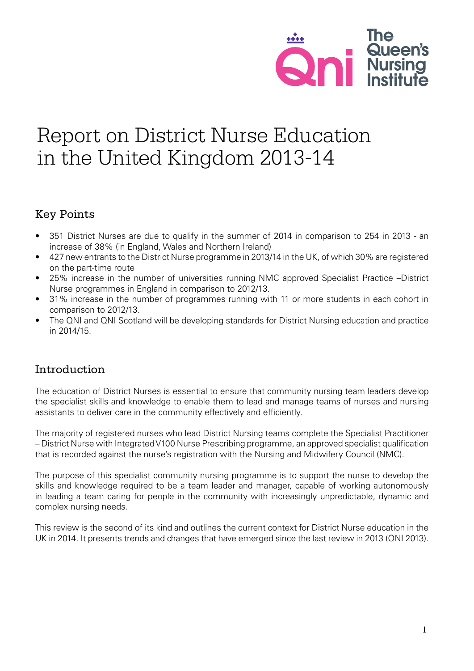

# Report on District Nurse Education in the United Kingdom 2013-14

# Key Points

- 351 District Nurses are due to qualify in the summer of 2014 in comparison to 254 in 2013 an increase of 38% (in England, Wales and Northern Ireland)
- 427 new entrants to the District Nurse programme in 2013/14 in the UK, of which 30% are registered on the part-time route
- 25% increase in the number of universities running NMC approved Specialist Practice –District Nurse programmes in England in comparison to 2012/13.
- 31% increase in the number of programmes running with 11 or more students in each cohort in comparison to 2012/13.
- The QNI and QNI Scotland will be developing standards for District Nursing education and practice in 2014/15.

# Introduction

The education of District Nurses is essential to ensure that community nursing team leaders develop the specialist skills and knowledge to enable them to lead and manage teams of nurses and nursing assistants to deliver care in the community effectively and efficiently.

The majority of registered nurses who lead District Nursing teams complete the Specialist Practitioner – District Nurse with Integrated V100 Nurse Prescribing programme, an approved specialist qualification that is recorded against the nurse's registration with the Nursing and Midwifery Council (NMC).

The purpose of this specialist community nursing programme is to support the nurse to develop the skills and knowledge required to be a team leader and manager, capable of working autonomously in leading a team caring for people in the community with increasingly unpredictable, dynamic and complex nursing needs.

This review is the second of its kind and outlines the current context for District Nurse education in the UK in 2014. It presents trends and changes that have emerged since the last review in 2013 (QNI 2013).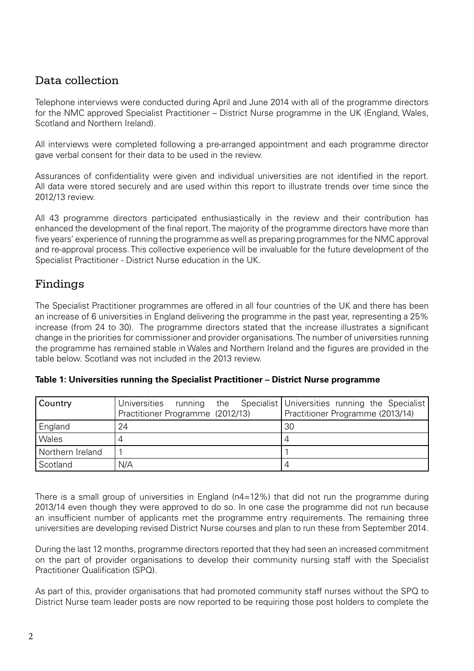# Data collection

Telephone interviews were conducted during April and June 2014 with all of the programme directors for the NMC approved Specialist Practitioner – District Nurse programme in the UK (England, Wales, Scotland and Northern Ireland).

All interviews were completed following a pre-arranged appointment and each programme director gave verbal consent for their data to be used in the review.

Assurances of confidentiality were given and individual universities are not identified in the report. All data were stored securely and are used within this report to illustrate trends over time since the 2012/13 review.

All 43 programme directors participated enthusiastically in the review and their contribution has enhanced the development of the final report. The majority of the programme directors have more than five years' experience of running the programme as well as preparing programmes for the NMC approval and re-approval process. This collective experience will be invaluable for the future development of the Specialist Practitioner - District Nurse education in the UK.

# Findings

The Specialist Practitioner programmes are offered in all four countries of the UK and there has been an increase of 6 universities in England delivering the programme in the past year, representing a 25% increase (from 24 to 30). The programme directors stated that the increase illustrates a significant change in the priorities for commissioner and provider organisations. The number of universities running the programme has remained stable in Wales and Northern Ireland and the figures are provided in the table below. Scotland was not included in the 2013 review.

| Country          | Universities<br>Practitioner Programme (2012/13) | running the Specialist Universities running the Specialist<br>Practitioner Programme (2013/14) |
|------------------|--------------------------------------------------|------------------------------------------------------------------------------------------------|
| England          | 24                                               | 30                                                                                             |
| Wales            |                                                  |                                                                                                |
| Northern Ireland |                                                  |                                                                                                |
| Scotland         | N/A                                              |                                                                                                |

There is a small group of universities in England ( $n4=12%$ ) that did not run the programme during 2013/14 even though they were approved to do so. In one case the programme did not run because an insufficient number of applicants met the programme entry requirements. The remaining three universities are developing revised District Nurse courses and plan to run these from September 2014.

During the last 12 months, programme directors reported that they had seen an increased commitment on the part of provider organisations to develop their community nursing staff with the Specialist Practitioner Qualification (SPQ).

As part of this, provider organisations that had promoted community staff nurses without the SPQ to District Nurse team leader posts are now reported to be requiring those post holders to complete the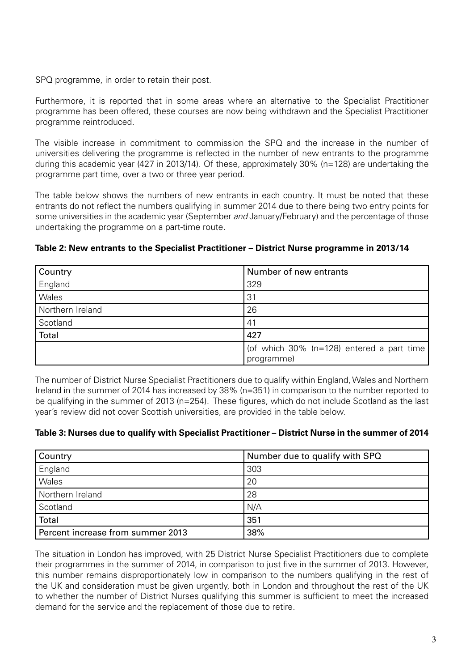SPQ programme, in order to retain their post.

Furthermore, it is reported that in some areas where an alternative to the Specialist Practitioner programme has been offered, these courses are now being withdrawn and the Specialist Practitioner programme reintroduced.

The visible increase in commitment to commission the SPQ and the increase in the number of universities delivering the programme is reflected in the number of new entrants to the programme during this academic year (427 in 2013/14). Of these, approximately 30% (n=128) are undertaking the programme part time, over a two or three year period.

The table below shows the numbers of new entrants in each country. It must be noted that these entrants do not reflect the numbers qualifying in summer 2014 due to there being two entry points for some universities in the academic year (September *and* January/February) and the percentage of those undertaking the programme on a part-time route.

**Table 2: New entrants to the Specialist Practitioner – District Nurse programme in 2013/14**

| Country          | Number of new entrants                                  |
|------------------|---------------------------------------------------------|
| England          | 329                                                     |
| Wales            | 31                                                      |
| Northern Ireland | 26                                                      |
| Scotland         | 41                                                      |
| <b>Total</b>     | 427                                                     |
|                  | (of which 30% (n=128) entered a part time<br>programme) |

The number of District Nurse Specialist Practitioners due to qualify within England, Wales and Northern Ireland in the summer of 2014 has increased by 38% (n=351) in comparison to the number reported to be qualifying in the summer of 2013 (n=254). These figures, which do not include Scotland as the last year's review did not cover Scottish universities, are provided in the table below.

#### **Table 3: Nurses due to qualify with Specialist Practitioner – District Nurse in the summer of 2014**

| <b>Country</b>                    | Number due to qualify with SPQ |
|-----------------------------------|--------------------------------|
| England                           | 303                            |
| <b>Wales</b>                      | 20                             |
| Northern Ireland                  | 28                             |
| Scotland                          | N/A                            |
| Total                             | 351                            |
| Percent increase from summer 2013 | 38%                            |

The situation in London has improved, with 25 District Nurse Specialist Practitioners due to complete their programmes in the summer of 2014, in comparison to just five in the summer of 2013. However, this number remains disproportionately low in comparison to the numbers qualifying in the rest of the UK and consideration must be given urgently, both in London and throughout the rest of the UK to whether the number of District Nurses qualifying this summer is sufficient to meet the increased demand for the service and the replacement of those due to retire.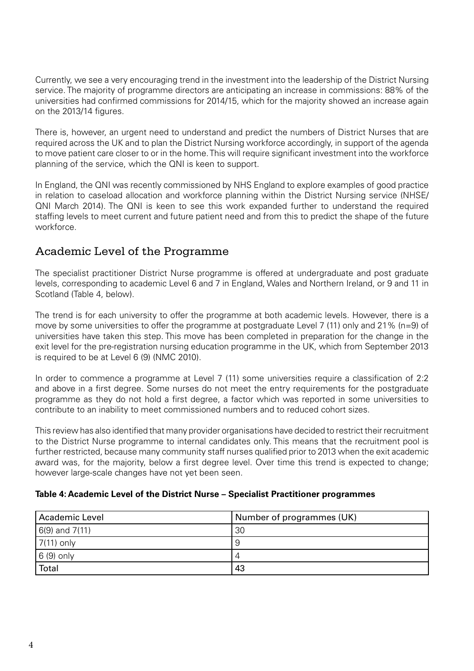Currently, we see a very encouraging trend in the investment into the leadership of the District Nursing service. The majority of programme directors are anticipating an increase in commissions: 88% of the universities had confirmed commissions for 2014/15, which for the majority showed an increase again on the 2013/14 figures.

There is, however, an urgent need to understand and predict the numbers of District Nurses that are required across the UK and to plan the District Nursing workforce accordingly, in support of the agenda to move patient care closer to or in the home. This will require significant investment into the workforce planning of the service, which the QNI is keen to support.

In England, the QNI was recently commissioned by NHS England to explore examples of good practice in relation to caseload allocation and workforce planning within the District Nursing service (NHSE/ QNI March 2014). The QNI is keen to see this work expanded further to understand the required staffing levels to meet current and future patient need and from this to predict the shape of the future workforce.

# Academic Level of the Programme

The specialist practitioner District Nurse programme is offered at undergraduate and post graduate levels, corresponding to academic Level 6 and 7 in England, Wales and Northern Ireland, or 9 and 11 in Scotland (Table 4, below).

The trend is for each university to offer the programme at both academic levels. However, there is a move by some universities to offer the programme at postgraduate Level 7 (11) only and 21% (n=9) of universities have taken this step. This move has been completed in preparation for the change in the exit level for the pre-registration nursing education programme in the UK, which from September 2013 is required to be at Level 6 (9) (NMC 2010).

In order to commence a programme at Level 7 (11) some universities require a classification of 2:2 and above in a first degree. Some nurses do not meet the entry requirements for the postgraduate programme as they do not hold a first degree, a factor which was reported in some universities to contribute to an inability to meet commissioned numbers and to reduced cohort sizes.

This review has also identified that many provider organisations have decided to restrict their recruitment to the District Nurse programme to internal candidates only. This means that the recruitment pool is further restricted, because many community staff nurses qualified prior to 2013 when the exit academic award was, for the majority, below a first degree level. Over time this trend is expected to change; however large-scale changes have not yet been seen.

#### **Table 4: Academic Level of the District Nurse – Specialist Practitioner programmes**

| Academic Level     | Number of programmes (UK) |
|--------------------|---------------------------|
| $6(9)$ and $7(11)$ | 30                        |
| $7(11)$ only       | 9                         |
| $6(9)$ only        | 4                         |
| Total              | 43                        |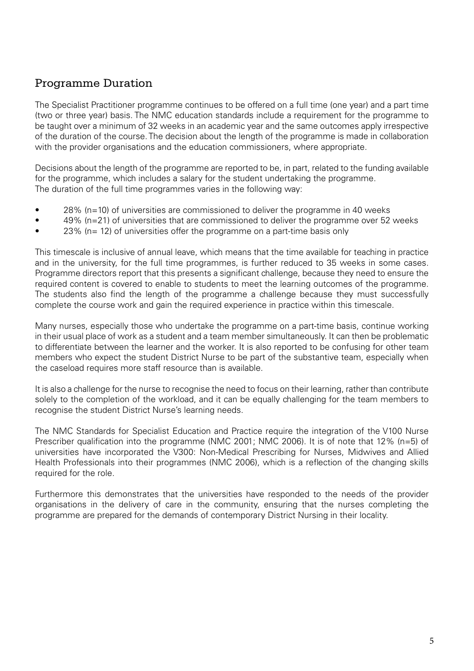# Programme Duration

The Specialist Practitioner programme continues to be offered on a full time (one year) and a part time (two or three year) basis. The NMC education standards include a requirement for the programme to be taught over a minimum of 32 weeks in an academic year and the same outcomes apply irrespective of the duration of the course. The decision about the length of the programme is made in collaboration with the provider organisations and the education commissioners, where appropriate.

Decisions about the length of the programme are reported to be, in part, related to the funding available for the programme, which includes a salary for the student undertaking the programme. The duration of the full time programmes varies in the following way:

- 28% (n=10) of universities are commissioned to deliver the programme in 40 weeks
- 49% (n=21) of universities that are commissioned to deliver the programme over 52 weeks
- 23% (n= 12) of universities offer the programme on a part-time basis only

This timescale is inclusive of annual leave, which means that the time available for teaching in practice and in the university, for the full time programmes, is further reduced to 35 weeks in some cases. Programme directors report that this presents a significant challenge, because they need to ensure the required content is covered to enable to students to meet the learning outcomes of the programme. The students also find the length of the programme a challenge because they must successfully complete the course work and gain the required experience in practice within this timescale.

Many nurses, especially those who undertake the programme on a part-time basis, continue working in their usual place of work as a student and a team member simultaneously. It can then be problematic to differentiate between the learner and the worker. It is also reported to be confusing for other team members who expect the student District Nurse to be part of the substantive team, especially when the caseload requires more staff resource than is available.

It is also a challenge for the nurse to recognise the need to focus on their learning, rather than contribute solely to the completion of the workload, and it can be equally challenging for the team members to recognise the student District Nurse's learning needs.

The NMC Standards for Specialist Education and Practice require the integration of the V100 Nurse Prescriber qualification into the programme (NMC 2001; NMC 2006). It is of note that 12% (n=5) of universities have incorporated the V300: Non-Medical Prescribing for Nurses, Midwives and Allied Health Professionals into their programmes (NMC 2006), which is a reflection of the changing skills required for the role.

Furthermore this demonstrates that the universities have responded to the needs of the provider organisations in the delivery of care in the community, ensuring that the nurses completing the programme are prepared for the demands of contemporary District Nursing in their locality.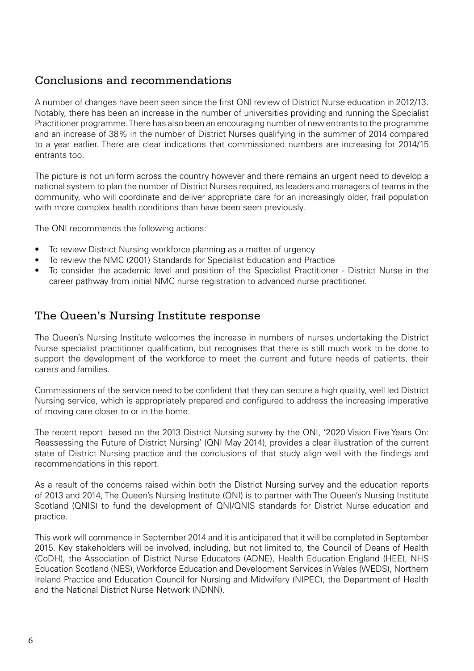# Conclusions and recommendations

A number of changes have been seen since the first QNI review of District Nurse education in 2012/13. Notably, there has been an increase in the number of universities providing and running the Specialist Practitioner programme. There has also been an encouraging number of new entrants to the programme and an increase of 38% in the number of District Nurses qualifying in the summer of 2014 compared to a year earlier. There are clear indications that commissioned numbers are increasing for 2014/15 entrants too.

The picture is not uniform across the country however and there remains an urgent need to develop a national system to plan the number of District Nurses required, as leaders and managers of teams in the community, who will coordinate and deliver appropriate care for an increasingly older, frail population with more complex health conditions than have been seen previously.

The QNI recommends the following actions:

- To review District Nursing workforce planning as a matter of urgency
- To review the NMC (2001) Standards for Specialist Education and Practice
- To consider the academic level and position of the Specialist Practitioner District Nurse in the career pathway from initial NMC nurse registration to advanced nurse practitioner.

#### The Queen's Nursing Institute response

The Queen's Nursing Institute welcomes the increase in numbers of nurses undertaking the District Nurse specialist practitioner qualification, but recognises that there is still much work to be done to support the development of the workforce to meet the current and future needs of patients, their carers and families.

Commissioners of the service need to be confident that they can secure a high quality, well led District Nursing service, which is appropriately prepared and configured to address the increasing imperative of moving care closer to or in the home.

The recent report based on the 2013 District Nursing survey by the QNI, '2020 Vision Five Years On: Reassessing the Future of District Nursing' (QNI May 2014), provides a clear illustration of the current state of District Nursing practice and the conclusions of that study align well with the findings and recommendations in this report.

As a result of the concerns raised within both the District Nursing survey and the education reports of 2013 and 2014, The Queen's Nursing Institute (QNI) is to partner with The Queen's Nursing Institute Scotland (QNIS) to fund the development of QNI/QNIS standards for District Nurse education and practice.

This work will commence in September 2014 and it is anticipated that it will be completed in September 2015. Key stakeholders will be involved, including, but not limited to, the Council of Deans of Health (CoDH), the Association of District Nurse Educators (ADNE), Health Education England (HEE), NHS Education Scotland (NES), Workforce Education and Development Services in Wales (WEDS), Northern Ireland Practice and Education Council for Nursing and Midwifery (NIPEC), the Department of Health and the National District Nurse Network (NDNN).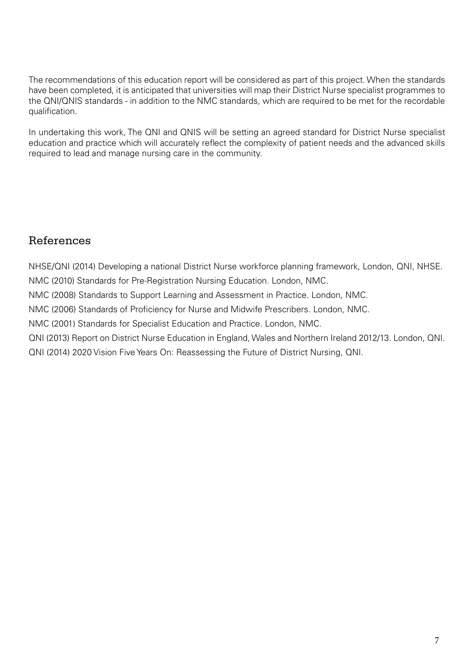The recommendations of this education report will be considered as part of this project. When the standards have been completed, it is anticipated that universities will map their District Nurse specialist programmes to the QNI/QNIS standards - in addition to the NMC standards, which are required to be met for the recordable qualification.

In undertaking this work, The QNI and QNIS will be setting an agreed standard for District Nurse specialist education and practice which will accurately reflect the complexity of patient needs and the advanced skills required to lead and manage nursing care in the community.

# References

NHSE/QNI (2014) Developing a national District Nurse workforce planning framework, London, QNI, NHSE. NMC (2010) Standards for Pre-Registration Nursing Education. London, NMC. NMC (2008) Standards to Support Learning and Assessment in Practice. London, NMC. NMC (2006) Standards of Proficiency for Nurse and Midwife Prescribers. London, NMC. NMC (2001) Standards for Specialist Education and Practice. London, NMC. QNI (2013) Report on District Nurse Education in England, Wales and Northern Ireland 2012/13. London, QNI. QNI (2014) 2020 Vision Five Years On: Reassessing the Future of District Nursing, QNI.